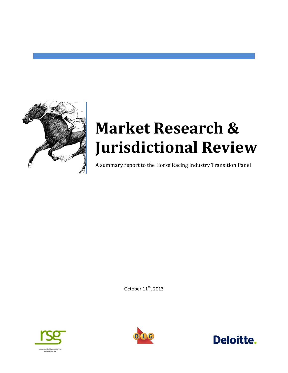

# **Market Research & Jurisdictional Review**

A summary report to the Horse Racing Industry Transition Panel

October  $11^{\text{th}}$ , 2013





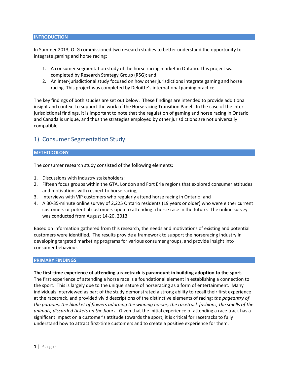## **INTRODUCTION**

In Summer 2013, OLG commissioned two research studies to better understand the opportunity to integrate gaming and horse racing:

- 1. A consumer segmentation study of the horse racing market in Ontario. This project was completed by Research Strategy Group (RSG); and
- 2. An inter-jurisdictional study focused on how other jurisdictions integrate gaming and horse racing. This project was completed by Deloitte's international gaming practice.

The key findings of both studies are set out below. These findings are intended to provide additional insight and context to support the work of the Horseracing Transition Panel. In the case of the interjurisdictional findings, it is important to note that the regulation of gaming and horse racing in Ontario and Canada is unique, and thus the strategies employed by other jurisdictions are not universally compatible.

# 1) Consumer Segmentation Study

## **METHODOLOGY**

The consumer research study consisted of the following elements:

- 1. Discussions with industry stakeholders;
- 2. Fifteen focus groups within the GTA, London and Fort Erie regions that explored consumer attitudes and motivations with respect to horse racing;
- 3. Interviews with VIP customers who regularly attend horse racing in Ontario; and
- 4. A 30-35-minute online survey of 2,225 Ontario residents (19 years or older) who were either current customers or potential customers open to attending a horse race in the future. The online survey was conducted from August 14-20, 2013.

Based on information gathered from this research, the needs and motivations of existing and potential customers were identified. The results provide a framework to support the horseracing industry in developing targeted marketing programs for various consumer groups, and provide insight into consumer behaviour.

### **PRIMARY FINDINGS**

### **The first-time experience of attending a racetrack is paramount in building adoption to the sport**.

The first experience of attending a horse race is a foundational element in establishing a connection to the sport. This is largely due to the unique nature of horseracing as a form of entertainment. Many individuals interviewed as part of the study demonstrated a strong ability to recall their first experience at the racetrack, and provided vivid descriptions of the distinctive elements of racing: *the pageantry of the parades, the blanket of flowers adorning the winning horses, the racetrack fashions, the smells of the animals, discarded tickets on the floors.* Given that the initial experience of attending a race track has a significant impact on a customer's attitude towards the sport, it is critical for racetracks to fully understand how to attract first-time customers and to create a positive experience for them.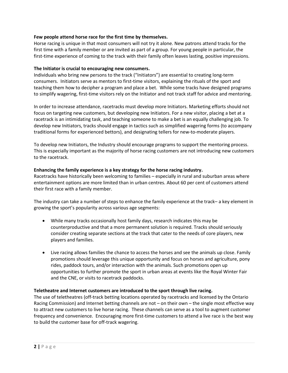## **Few people attend horse race for the first time by themselves.**

Horse racing is unique in that most consumers will not try it alone. New patrons attend tracks for the first time with a family member or are invited as part of a group. For young people in particular, the first-time experience of coming to the track with their family often leaves lasting, positive impressions.

## **The Initiator is crucial to encouraging new consumers.**

Individuals who bring new persons to the track ("Initiators") are essential to creating long-term consumers. Initiators serve as mentors to first-time visitors, explaining the rituals of the sport and teaching them how to decipher a program and place a bet. While some tracks have designed programs to simplify wagering, first-time visitors rely on the Initiator and not track staff for advice and mentoring.

In order to increase attendance, racetracks must develop more Initiators. Marketing efforts should not focus on targeting new customers, but developing new Initiators. For a new visitor, placing a bet at a racetrack is an intimidating task, and teaching someone to make a bet is an equally challenging job. To develop new Initiators, tracks should engage in tactics such as simplified wagering forms (to accompany traditional forms for experienced bettors), and designating tellers for new-to-moderate players.

To develop new Initiators, the Industry should encourage programs to support the mentoring process. This is especially important as the majority of horse racing customers are not introducing new customers to the racetrack.

## **Enhancing the family experience is a key strategy for the horse racing industry.**

Racetracks have historically been welcoming to families – especially in rural and suburban areas where entertainment options are more limited than in urban centres. About 60 per cent of customers attend their first race with a family member.

The industry can take a number of steps to enhance the family experience at the track– a key element in growing the sport's popularity across various age segments:

- While many tracks occasionally host family days, research indicates this may be counterproductive and that a more permanent solution is required. Tracks should seriously consider creating separate sections at the track that cater to the needs of core players, new players and families.
- Live racing allows families the chance to access the horses and see the animals up close. Family promotions should leverage this unique opportunity and focus on horses and agriculture, pony rides, paddock tours, and/or interaction with the animals. Such promotions open up opportunities to further promote the sport in urban areas at events like the Royal Winter Fair and the CNE, or visits to racetrack paddocks.

## **Teletheatre and Internet customers are introduced to the sport through live racing.**

The use of teletheatres (off-track betting locations operated by racetracks and licensed by the Ontario Racing Commission) and Internet betting channels are not – on their own – the single most effective way to attract new customers to live horse racing. These channels can serve as a tool to augment customer frequency and convenience. Encouraging more first-time customers to attend a live race is the best way to build the customer base for off-track wagering.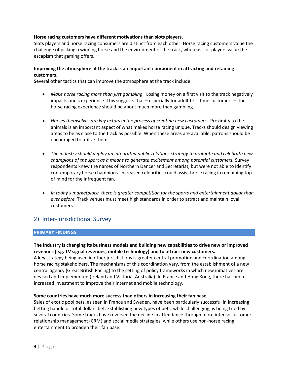# **Horse racing customers have different motivations than slots players.**

Slots players and horse racing consumers are distinct from each other. Horse racing customers value the challenge of picking a winning horse and the environment of the track, whereas slot players value the escapism that gaming offers.

# **Improving the atmosphere at the track is an important component in attracting and retaining customers.**

Several other tactics that can improve the atmosphere at the track include:

- *Make horse racing more than just gambling.* Losing money on a first visit to the track negatively impacts one's experience. This suggests that – especially for adult first-time customers – the horse racing experience should be about much more than gambling.
- *Horses themselves are key actors in the process of creating new customers.* Proximity to the animals is an important aspect of what makes horse racing unique. Tracks should design viewing areas to be as close to the track as possible. When these areas are available, patrons should be encouraged to utilize them.
- *The industry should deploy an integrated public relations strategy to promote and celebrate new champions of the sport as a means to generate excitement among potential customers.* Survey respondents knew the names of Northern Dancer and Secretariat, but were not able to identify contemporary horse champions. Increased celebrities could assist horse racing in remaining top of mind for the infrequent fan.
- *In today's marketplace, there is greater competition for the sports and entertainment dollar than ever before.* Track venues must meet high standards in order to attract and maintain loyal customers.

# 2) Inter-jurisdictional Survey

## **PRIMARY FINDINGS**

# **The industry is changing its business models and building new capabilities to drive new or improved revenues (e.g. TV signal revenues, mobile technology) and to attract new customers.**

A key strategy being used in other jurisdictions is greater central promotion and coordination among horse racing stakeholders. The mechanisms of this coordination vary, from the establishment of a new central agency (Great British Racing) to the setting of policy frameworks in which new initiatives are devised and implemented (Ireland and Victoria, Australia). In France and Hong Kong, there has been increased investment to improve their internet and mobile technology.

## **Some countries have much more success than others in increasing their fan base.**

Sales of exotic pool bets, as seen in France and Sweden, have been particularly successful in increasing betting handle or total dollars bet. Establishing new types of bets, while challenging, is being tried by several countries. Some tracks have reversed the decline in attendance through more intense customer relationship management (CRM) and social media strategies, while others use non-horse racing entertainment to broaden their fan base.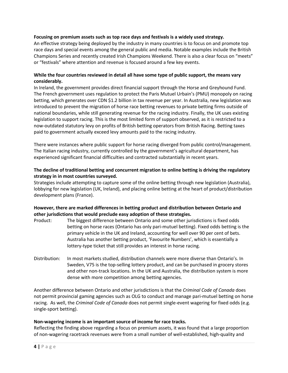## **Focusing on premium assets such as top race days and festivals is a widely used strategy.**

An effective strategy being deployed by the industry in many countries is to focus on and promote top race days and special events among the general public and media. Notable examples include the British Champions Series and recently created Irish Champions Weekend. There is also a clear focus on "meets" or "festivals" where attention and revenue is focused around a few key events.

# **While the four countries reviewed in detail all have some type of public support, the means vary considerably.**

In Ireland, the government provides direct financial support through the Horse and Greyhound Fund. The French government uses regulation to protect the Paris Mutuel Urbain's (PMU) monopoly on racing betting, which generates over CDN \$1.2 billion in tax revenue per year. In Australia, new legislation was introduced to prevent the migration of horse race betting revenues to private betting firms outside of national boundaries, while still generating revenue for the racing industry. Finally, the UK uses existing legislation to support racing. This is the most limited form of support observed, as it is restricted to a now-outdated statutory levy on profits of British betting operators from British Racing. Betting taxes paid to government actually exceed levy amounts paid to the racing industry.

There were instances where public support for horse racing diverged from public control/management. The Italian racing industry, currently controlled by the government's agricultural department, has experienced significant financial difficulties and contracted substantially in recent years.

## **The decline of traditional betting and concurrent migration to online betting is driving the regulatory strategy in in most countries surveyed.**

Strategies include attempting to capture some of the online betting through new legislation (Australia), lobbying for new legislation (UK, Ireland), and placing online betting at the heart of product/distribution development plans (France).

# **However, there are marked differences in betting product and distribution between Ontario and other jurisdictions that would preclude easy adoption of these strategies.**

- Product: The biggest difference between Ontario and some other jurisdictions is fixed odds betting on horse races (Ontario has only pari-mutuel betting). Fixed odds betting is the primary vehicle in the UK and Ireland, accounting for well over 90 per cent of bets. Australia has another betting product, 'Favourite Numbers', which is essentially a lottery-type ticket that still provides an interest in horse racing.
- Distribution: In most markets studied, distribution channels were more diverse than Ontario's. In Sweden, V75 is the top-selling lottery product, and can be purchased in grocery stores and other non-track locations. In the UK and Australia, the distribution system is more dense with more competition among betting agencies.

Another difference between Ontario and other jurisdictions is that the *Criminal Code of Canada* does not permit provincial gaming agencies such as OLG to conduct and manage pari-mutuel betting on horse racing. As well, the *Criminal Code of Canada* does not permit single-event wagering for fixed odds (e.g. single-sport betting).

### **Non-wagering income is an important source of income for race tracks.**

Reflecting the finding above regarding a focus on premium assets, it was found that a large proportion of non-wagering racetrack revenues were from a small number of well-established, high-quality and